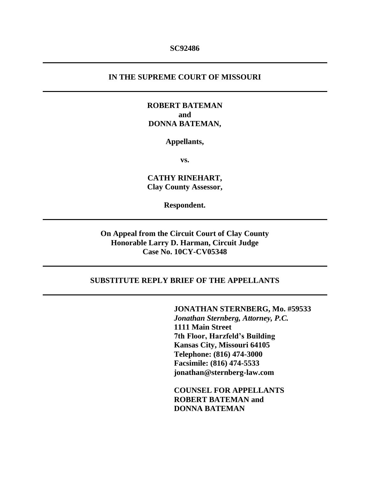#### **SC92486**

### **IN THE SUPREME COURT OF MISSOURI**

## **ROBERT BATEMAN and DONNA BATEMAN,**

#### **Appellants,**

**vs.**

**CATHY RINEHART, Clay County Assessor,**

**Respondent.**

**On Appeal from the Circuit Court of Clay County Honorable Larry D. Harman, Circuit Judge Case No. 10CY-CV05348**

### **SUBSTITUTE REPLY BRIEF OF THE APPELLANTS**

**JONATHAN STERNBERG, Mo. #59533** *Jonathan Sternberg, Attorney, P.C.* **1111 Main Street 7th Floor, Harzfeld's Building Kansas City, Missouri 64105 Telephone: (816) 474-3000 Facsimile: (816) 474-5533 jonathan@sternberg-law.com**

**COUNSEL FOR APPELLANTS ROBERT BATEMAN and DONNA BATEMAN**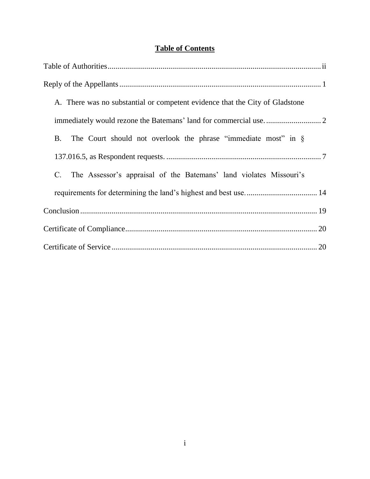## **Table of Contents**

| A. There was no substantial or competent evidence that the City of Gladstone          |
|---------------------------------------------------------------------------------------|
|                                                                                       |
| The Court should not overlook the phrase "immediate most" in $\S$<br><b>B.</b>        |
|                                                                                       |
| The Assessor's appraisal of the Batemans' land violates Missouri's<br>$\mathcal{C}$ . |
|                                                                                       |
|                                                                                       |
|                                                                                       |
|                                                                                       |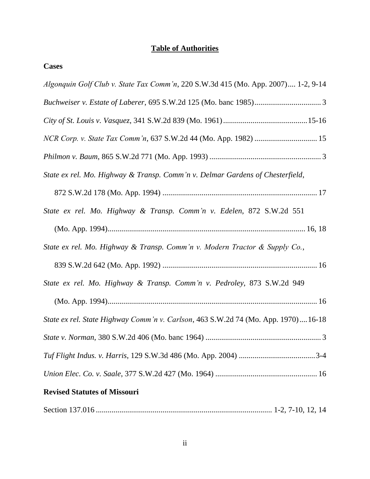## **Table of Authorities**

| Algonquin Golf Club v. State Tax Comm'n, 220 S.W.3d 415 (Mo. App. 2007) 1-2, 9-14 |
|-----------------------------------------------------------------------------------|
|                                                                                   |
|                                                                                   |
|                                                                                   |
|                                                                                   |
| State ex rel. Mo. Highway & Transp. Comm'n v. Delmar Gardens of Chesterfield,     |
|                                                                                   |
| State ex rel. Mo. Highway & Transp. Comm'n v. Edelen, 872 S.W.2d 551              |
|                                                                                   |
| State ex rel. Mo. Highway & Transp. Comm'n v. Modern Tractor & Supply Co.,        |
|                                                                                   |
| State ex rel. Mo. Highway & Transp. Comm'n v. Pedroley, 873 S.W.2d 949            |
|                                                                                   |
| State ex rel. State Highway Comm'n v. Carlson, 463 S.W.2d 74 (Mo. App. 1970)16-18 |
|                                                                                   |
|                                                                                   |
|                                                                                   |
| <b>Revised Statutes of Missouri</b>                                               |
|                                                                                   |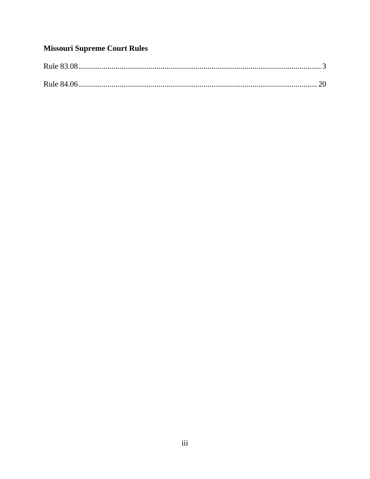## **Missouri Supreme Court Rules**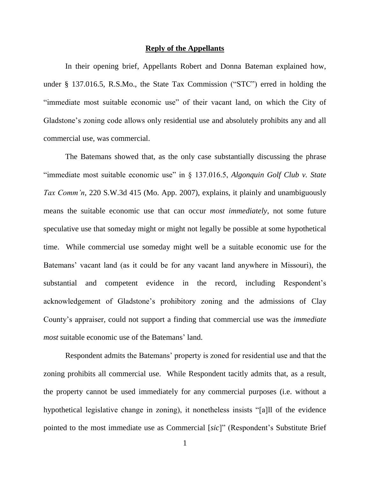#### **Reply of the Appellants**

In their opening brief, Appellants Robert and Donna Bateman explained how, under § 137.016.5, R.S.Mo., the State Tax Commission ("STC") erred in holding the "immediate most suitable economic use" of their vacant land, on which the City of Gladstone's zoning code allows only residential use and absolutely prohibits any and all commercial use, was commercial.

The Batemans showed that, as the only case substantially discussing the phrase "immediate most suitable economic use" in § 137.016.5, *Algonquin Golf Club v. State Tax Comm'n*, 220 S.W.3d 415 (Mo. App. 2007), explains, it plainly and unambiguously means the suitable economic use that can occur *most immediately*, not some future speculative use that someday might or might not legally be possible at some hypothetical time. While commercial use someday might well be a suitable economic use for the Batemans' vacant land (as it could be for any vacant land anywhere in Missouri), the substantial and competent evidence in the record, including Respondent's acknowledgement of Gladstone's prohibitory zoning and the admissions of Clay County's appraiser, could not support a finding that commercial use was the *immediate most* suitable economic use of the Batemans' land.

Respondent admits the Batemans' property is zoned for residential use and that the zoning prohibits all commercial use. While Respondent tacitly admits that, as a result, the property cannot be used immediately for any commercial purposes (i.e. without a hypothetical legislative change in zoning), it nonetheless insists "[a]ll of the evidence pointed to the most immediate use as Commercial [*sic*]" (Respondent's Substitute Brief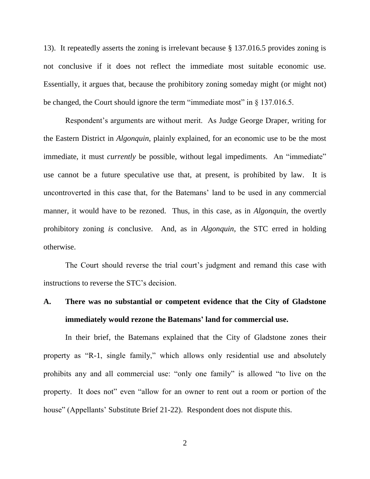13). It repeatedly asserts the zoning is irrelevant because § 137.016.5 provides zoning is not conclusive if it does not reflect the immediate most suitable economic use. Essentially, it argues that, because the prohibitory zoning someday might (or might not) be changed, the Court should ignore the term "immediate most" in § 137.016.5.

Respondent's arguments are without merit. As Judge George Draper, writing for the Eastern District in *Algonquin*, plainly explained, for an economic use to be the most immediate, it must *currently* be possible, without legal impediments. An "immediate" use cannot be a future speculative use that, at present, is prohibited by law. It is uncontroverted in this case that, for the Batemans' land to be used in any commercial manner, it would have to be rezoned. Thus, in this case, as in *Algonquin*, the overtly prohibitory zoning *is* conclusive. And, as in *Algonquin*, the STC erred in holding otherwise.

The Court should reverse the trial court's judgment and remand this case with instructions to reverse the STC's decision.

# **A. There was no substantial or competent evidence that the City of Gladstone immediately would rezone the Batemans' land for commercial use.**

In their brief, the Batemans explained that the City of Gladstone zones their property as "R-1, single family," which allows only residential use and absolutely prohibits any and all commercial use: "only one family" is allowed "to live on the property. It does not" even "allow for an owner to rent out a room or portion of the house" (Appellants' Substitute Brief 21-22). Respondent does not dispute this.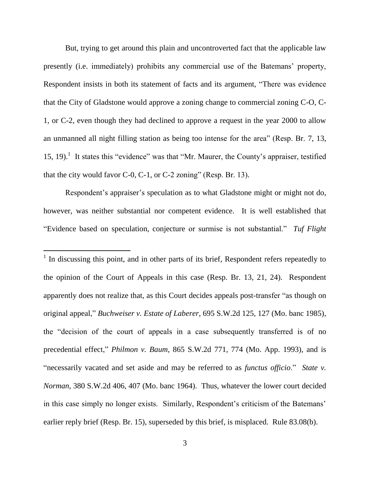But, trying to get around this plain and uncontroverted fact that the applicable law presently (i.e. immediately) prohibits any commercial use of the Batemans' property, Respondent insists in both its statement of facts and its argument, "There was evidence that the City of Gladstone would approve a zoning change to commercial zoning C-O, C-1, or C-2, even though they had declined to approve a request in the year 2000 to allow an unmanned all night filling station as being too intense for the area" (Resp. Br. 7, 13, 15, 19).<sup>1</sup> It states this "evidence" was that "Mr. Maurer, the County's appraiser, testified that the city would favor  $C-0$ ,  $C-1$ , or  $C-2$  zoning" (Resp. Br. 13).

Respondent's appraiser's speculation as to what Gladstone might or might not do, however, was neither substantial nor competent evidence. It is well established that "Evidence based on speculation, conjecture or surmise is not substantial." *Tuf Flight* 

l

<sup>1</sup> In discussing this point, and in other parts of its brief, Respondent refers repeatedly to the opinion of the Court of Appeals in this case (Resp. Br. 13, 21, 24). Respondent apparently does not realize that, as this Court decides appeals post-transfer "as though on original appeal," *Buchweiser v. Estate of Laberer*, 695 S.W.2d 125, 127 (Mo. banc 1985), the "decision of the court of appeals in a case subsequently transferred is of no precedential effect," *Philmon v. Baum*, 865 S.W.2d 771, 774 (Mo. App. 1993), and is "necessarily vacated and set aside and may be referred to as *functus officio*." *State v. Norman*, 380 S.W.2d 406, 407 (Mo. banc 1964). Thus, whatever the lower court decided in this case simply no longer exists. Similarly, Respondent's criticism of the Batemans' earlier reply brief (Resp. Br. 15), superseded by this brief, is misplaced. Rule 83.08(b).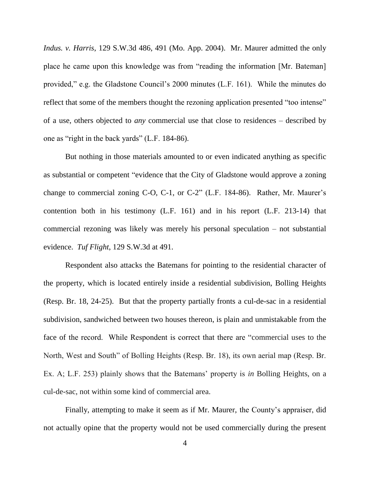*Indus. v. Harris*, 129 S.W.3d 486, 491 (Mo. App. 2004). Mr. Maurer admitted the only place he came upon this knowledge was from "reading the information [Mr. Bateman] provided," e.g. the Gladstone Council's 2000 minutes (L.F. 161). While the minutes do reflect that some of the members thought the rezoning application presented "too intense" of a use, others objected to *any* commercial use that close to residences – described by one as "right in the back yards" (L.F. 184-86).

But nothing in those materials amounted to or even indicated anything as specific as substantial or competent "evidence that the City of Gladstone would approve a zoning change to commercial zoning C-O, C-1, or C-2" (L.F. 184-86). Rather, Mr. Maurer's contention both in his testimony (L.F. 161) and in his report (L.F. 213-14) that commercial rezoning was likely was merely his personal speculation – not substantial evidence. *Tuf Flight*, 129 S.W.3d at 491.

Respondent also attacks the Batemans for pointing to the residential character of the property, which is located entirely inside a residential subdivision, Bolling Heights (Resp. Br. 18, 24-25). But that the property partially fronts a cul-de-sac in a residential subdivision, sandwiched between two houses thereon, is plain and unmistakable from the face of the record. While Respondent is correct that there are "commercial uses to the North, West and South" of Bolling Heights (Resp. Br. 18), its own aerial map (Resp. Br. Ex. A; L.F. 253) plainly shows that the Batemans' property is *in* Bolling Heights, on a cul-de-sac, not within some kind of commercial area.

Finally, attempting to make it seem as if Mr. Maurer, the County's appraiser, did not actually opine that the property would not be used commercially during the present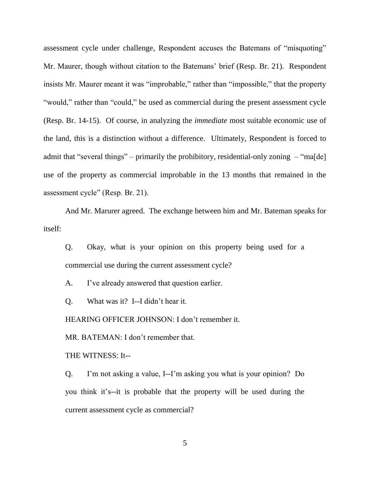assessment cycle under challenge, Respondent accuses the Batemans of "misquoting" Mr. Maurer, though without citation to the Batemans' brief (Resp. Br. 21). Respondent insists Mr. Maurer meant it was "improbable," rather than "impossible," that the property "would," rather than "could," be used as commercial during the present assessment cycle (Resp. Br. 14-15). Of course, in analyzing the *immediate* most suitable economic use of the land, this is a distinction without a difference. Ultimately, Respondent is forced to admit that "several things" – primarily the prohibitory, residential-only zoning  $-$  "ma[de] use of the property as commercial improbable in the 13 months that remained in the assessment cycle" (Resp. Br. 21).

And Mr. Marurer agreed. The exchange between him and Mr. Bateman speaks for itself:

Q. Okay, what is your opinion on this property being used for a commercial use during the current assessment cycle?

A. I've already answered that question earlier.

Q. What was it? I--I didn't hear it.

HEARING OFFICER JOHNSON: I don't remember it.

MR. BATEMAN: I don't remember that.

THE WITNESS: It--

Q. I'm not asking a value, I--I'm asking you what is your opinion? Do you think it's--it is probable that the property will be used during the current assessment cycle as commercial?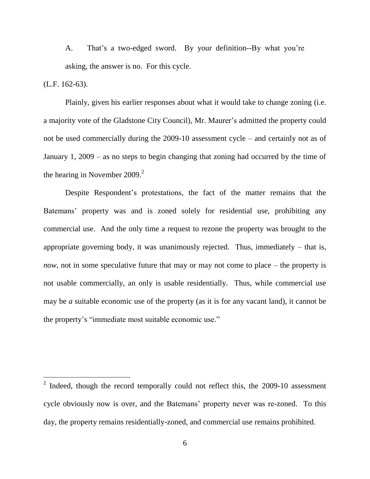A. That's a two-edged sword. By your definition--By what you're asking, the answer is no. For this cycle.

(L.F. 162-63).

l

Plainly, given his earlier responses about what it would take to change zoning (i.e. a majority vote of the Gladstone City Council), Mr. Maurer's admitted the property could not be used commercially during the 2009-10 assessment cycle – and certainly not as of January 1, 2009 – as no steps to begin changing that zoning had occurred by the time of the hearing in November 2009.<sup>2</sup>

Despite Respondent's protestations, the fact of the matter remains that the Batemans' property was and is zoned solely for residential use, prohibiting any commercial use. And the only time a request to rezone the property was brought to the appropriate governing body, it was unanimously rejected. Thus, immediately – that is, *now*, not in some speculative future that may or may not come to place – the property is not usable commercially, an only is usable residentially. Thus, while commercial use may be *a* suitable economic use of the property (as it is for any vacant land), it cannot be the property's "immediate most suitable economic use."

 $2$  Indeed, though the record temporally could not reflect this, the 2009-10 assessment cycle obviously now is over, and the Batemans' property never was re-zoned. To this day, the property remains residentially-zoned, and commercial use remains prohibited.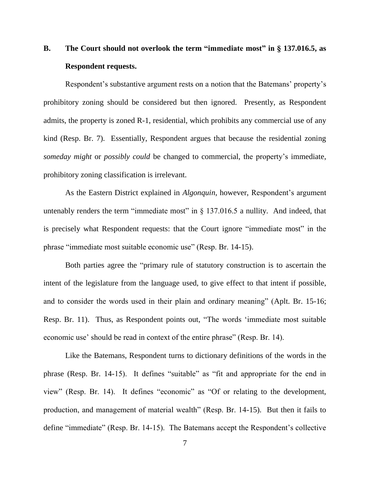# **B. The Court should not overlook the term "immediate most" in § 137.016.5, as Respondent requests.**

Respondent's substantive argument rests on a notion that the Batemans' property's prohibitory zoning should be considered but then ignored. Presently, as Respondent admits, the property is zoned R-1, residential, which prohibits any commercial use of any kind (Resp. Br. 7). Essentially, Respondent argues that because the residential zoning *someday might* or *possibly could* be changed to commercial, the property's immediate, prohibitory zoning classification is irrelevant.

As the Eastern District explained in *Algonquin*, however, Respondent's argument untenably renders the term "immediate most" in  $\S$  137.016.5 a nullity. And indeed, that is precisely what Respondent requests: that the Court ignore "immediate most" in the phrase "immediate most suitable economic use" (Resp. Br. 14-15).

Both parties agree the "primary rule of statutory construction is to ascertain the intent of the legislature from the language used, to give effect to that intent if possible, and to consider the words used in their plain and ordinary meaning" (Aplt. Br. 15-16; Resp. Br. 11). Thus, as Respondent points out, "The words 'immediate most suitable economic use' should be read in context of the entire phrase" (Resp. Br. 14).

Like the Batemans, Respondent turns to dictionary definitions of the words in the phrase (Resp. Br. 14-15). It defines "suitable" as "fit and appropriate for the end in view" (Resp. Br. 14). It defines "economic" as "Of or relating to the development, production, and management of material wealth" (Resp. Br. 14-15). But then it fails to define "immediate" (Resp. Br. 14-15). The Batemans accept the Respondent's collective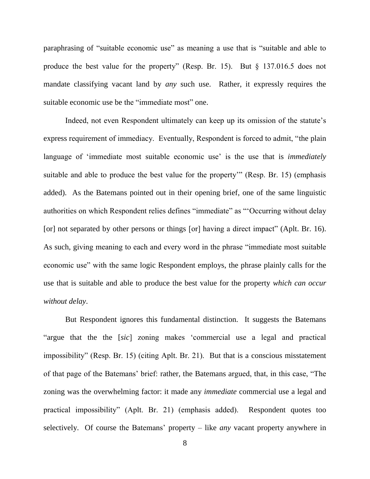paraphrasing of "suitable economic use" as meaning a use that is "suitable and able to produce the best value for the property" (Resp. Br. 15). But § 137.016.5 does not mandate classifying vacant land by *any* such use. Rather, it expressly requires the suitable economic use be the "immediate most" one.

Indeed, not even Respondent ultimately can keep up its omission of the statute's express requirement of immediacy. Eventually, Respondent is forced to admit, "the plain language of 'immediate most suitable economic use' is the use that is *immediately* suitable and able to produce the best value for the property'" (Resp. Br. 15) (emphasis added). As the Batemans pointed out in their opening brief, one of the same linguistic authorities on which Respondent relies defines "immediate" as "'Occurring without delay [or] not separated by other persons or things [or] having a direct impact" (Aplt. Br. 16). As such, giving meaning to each and every word in the phrase "immediate most suitable economic use" with the same logic Respondent employs, the phrase plainly calls for the use that is suitable and able to produce the best value for the property *which can occur without delay*.

But Respondent ignores this fundamental distinction. It suggests the Batemans "argue that the the [*sic*] zoning makes 'commercial use a legal and practical impossibility" (Resp. Br. 15) (citing Aplt. Br. 21). But that is a conscious misstatement of that page of the Batemans' brief: rather, the Batemans argued, that, in this case, "The zoning was the overwhelming factor: it made any *immediate* commercial use a legal and practical impossibility" (Aplt. Br. 21) (emphasis added). Respondent quotes too selectively. Of course the Batemans' property – like *any* vacant property anywhere in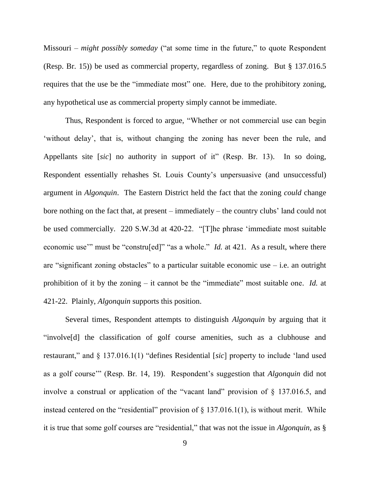Missouri – *might possibly someday* ("at some time in the future," to quote Respondent (Resp. Br. 15)) be used as commercial property, regardless of zoning. But § 137.016.5 requires that the use be the "immediate most" one. Here, due to the prohibitory zoning, any hypothetical use as commercial property simply cannot be immediate.

Thus, Respondent is forced to argue, "Whether or not commercial use can begin 'without delay', that is, without changing the zoning has never been the rule, and Appellants site [*sic*] no authority in support of it" (Resp. Br. 13). In so doing, Respondent essentially rehashes St. Louis County's unpersuasive (and unsuccessful) argument in *Algonquin*. The Eastern District held the fact that the zoning *could* change bore nothing on the fact that, at present – immediately – the country clubs' land could not be used commercially. 220 S.W.3d at 420-22. "[T]he phrase 'immediate most suitable economic use" must be "constru<sup>[ed]"</sup> "as a whole." *Id.* at 421. As a result, where there are "significant zoning obstacles" to a particular suitable economic use  $-$  i.e. an outright prohibition of it by the zoning – it cannot be the "immediate" most suitable one. *Id.* at 421-22. Plainly, *Algonquin* supports this position.

Several times, Respondent attempts to distinguish *Algonquin* by arguing that it "involve[d] the classification of golf course amenities, such as a clubhouse and restaurant," and § 137.016.1(1) "defines Residential [*sic*] property to include 'land used as a golf course'" (Resp. Br. 14, 19). Respondent's suggestion that *Algonquin* did not involve a construal or application of the "vacant land" provision of § 137.016.5, and instead centered on the "residential" provision of  $\S$  137.016.1(1), is without merit. While it is true that some golf courses are "residential," that was not the issue in *Algonquin*, as §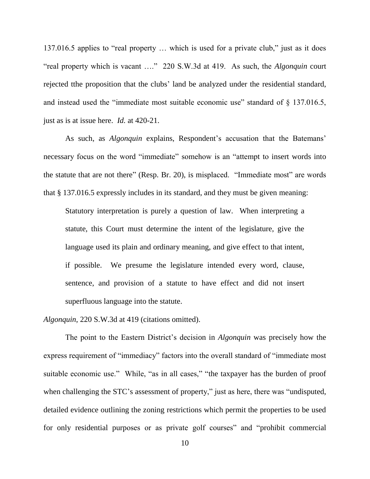137.016.5 applies to "real property … which is used for a private club," just as it does "real property which is vacant …." 220 S.W.3d at 419. As such, the *Algonquin* court rejected tthe proposition that the clubs' land be analyzed under the residential standard, and instead used the "immediate most suitable economic use" standard of § 137.016.5, just as is at issue here. *Id.* at 420-21.

As such, as *Algonquin* explains, Respondent's accusation that the Batemans' necessary focus on the word "immediate" somehow is an "attempt to insert words into the statute that are not there" (Resp. Br. 20), is misplaced. "Immediate most" are words that § 137.016.5 expressly includes in its standard, and they must be given meaning:

Statutory interpretation is purely a question of law. When interpreting a statute, this Court must determine the intent of the legislature, give the language used its plain and ordinary meaning, and give effect to that intent, if possible. We presume the legislature intended every word, clause, sentence, and provision of a statute to have effect and did not insert superfluous language into the statute.

*Algonquin*, 220 S.W.3d at 419 (citations omitted).

The point to the Eastern District's decision in *Algonquin* was precisely how the express requirement of "immediacy" factors into the overall standard of "immediate most suitable economic use." While, "as in all cases," "the taxpayer has the burden of proof when challenging the STC's assessment of property," just as here, there was "undisputed, detailed evidence outlining the zoning restrictions which permit the properties to be used for only residential purposes or as private golf courses" and "prohibit commercial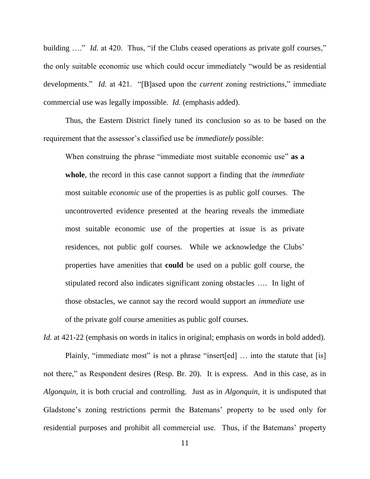building ...." *Id.* at 420. Thus, "if the Clubs ceased operations as private golf courses," the only suitable economic use which could occur immediately "would be as residential developments." *Id.* at 421. "[B]ased upon the *current* zoning restrictions," immediate commercial use was legally impossible. *Id.* (emphasis added).

Thus, the Eastern District finely tuned its conclusion so as to be based on the requirement that the assessor's classified use be *immediately* possible:

When construing the phrase "immediate most suitable economic use" **as a whole**, the record in this case cannot support a finding that the *immediate* most suitable *economic* use of the properties is as public golf courses. The uncontroverted evidence presented at the hearing reveals the immediate most suitable economic use of the properties at issue is as private residences, not public golf courses. While we acknowledge the Clubs' properties have amenities that **could** be used on a public golf course, the stipulated record also indicates significant zoning obstacles …. In light of those obstacles, we cannot say the record would support an *immediate* use of the private golf course amenities as public golf courses.

*Id.* at 421-22 (emphasis on words in italics in original; emphasis on words in bold added). Plainly, "immediate most" is not a phrase "insert[ed] ... into the statute that [is] not there," as Respondent desires (Resp. Br. 20). It is express. And in this case, as in *Algonquin*, it is both crucial and controlling. Just as in *Algonquin*, it is undisputed that Gladstone's zoning restrictions permit the Batemans' property to be used only for residential purposes and prohibit all commercial use. Thus, if the Batemans' property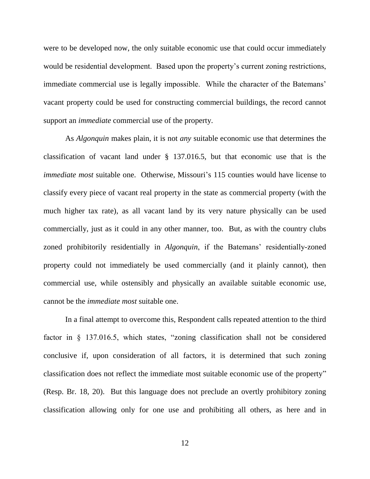were to be developed now, the only suitable economic use that could occur immediately would be residential development. Based upon the property's current zoning restrictions, immediate commercial use is legally impossible. While the character of the Batemans' vacant property could be used for constructing commercial buildings, the record cannot support an *immediate* commercial use of the property.

As *Algonquin* makes plain, it is not *any* suitable economic use that determines the classification of vacant land under § 137.016.5, but that economic use that is the *immediate most* suitable one. Otherwise, Missouri's 115 counties would have license to classify every piece of vacant real property in the state as commercial property (with the much higher tax rate), as all vacant land by its very nature physically can be used commercially, just as it could in any other manner, too. But, as with the country clubs zoned prohibitorily residentially in *Algonquin*, if the Batemans' residentially-zoned property could not immediately be used commercially (and it plainly cannot), then commercial use, while ostensibly and physically an available suitable economic use, cannot be the *immediate most* suitable one.

In a final attempt to overcome this, Respondent calls repeated attention to the third factor in § 137.016.5, which states, "zoning classification shall not be considered conclusive if, upon consideration of all factors, it is determined that such zoning classification does not reflect the immediate most suitable economic use of the property" (Resp. Br. 18, 20). But this language does not preclude an overtly prohibitory zoning classification allowing only for one use and prohibiting all others, as here and in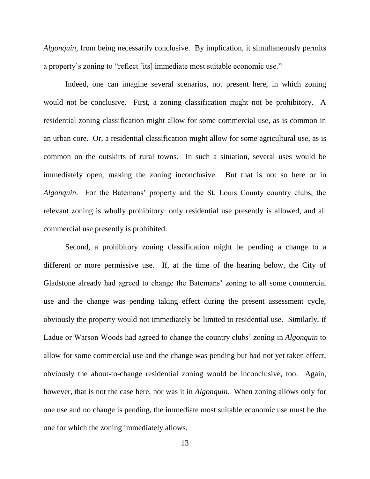*Algonquin*, from being necessarily conclusive. By implication, it simultaneously permits a property's zoning to "reflect [its] immediate most suitable economic use."

Indeed, one can imagine several scenarios, not present here, in which zoning would not be conclusive. First, a zoning classification might not be prohibitory. A residential zoning classification might allow for some commercial use, as is common in an urban core. Or, a residential classification might allow for some agricultural use, as is common on the outskirts of rural towns. In such a situation, several uses would be immediately open, making the zoning inconclusive. But that is not so here or in *Algonquin*. For the Batemans' property and the St. Louis County country clubs, the relevant zoning is wholly prohibitory: only residential use presently is allowed, and all commercial use presently is prohibited.

Second, a prohibitory zoning classification might be pending a change to a different or more permissive use. If, at the time of the hearing below, the City of Gladstone already had agreed to change the Batemans' zoning to all some commercial use and the change was pending taking effect during the present assessment cycle, obviously the property would not immediately be limited to residential use. Similarly, if Ladue or Warson Woods had agreed to change the country clubs' zoning in *Algonquin* to allow for some commercial use and the change was pending but had not yet taken effect, obviously the about-to-change residential zoning would be inconclusive, too. Again, however, that is not the case here, nor was it in *Algonquin*. When zoning allows only for one use and no change is pending, the immediate most suitable economic use must be the one for which the zoning immediately allows.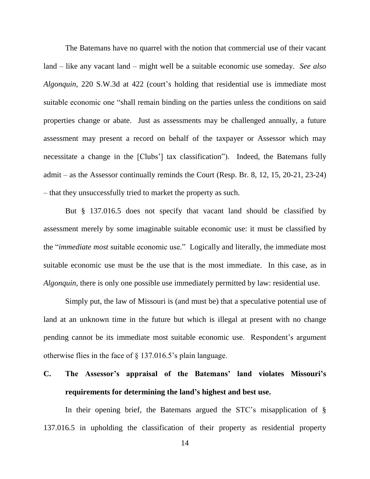The Batemans have no quarrel with the notion that commercial use of their vacant land – like any vacant land – might well be a suitable economic use someday. *See also Algonquin*, 220 S.W.3d at 422 (court's holding that residential use is immediate most suitable economic one "shall remain binding on the parties unless the conditions on said properties change or abate. Just as assessments may be challenged annually, a future assessment may present a record on behalf of the taxpayer or Assessor which may necessitate a change in the [Clubs'] tax classification"). Indeed, the Batemans fully admit – as the Assessor continually reminds the Court (Resp. Br. 8, 12, 15, 20-21, 23-24) – that they unsuccessfully tried to market the property as such.

But § 137.016.5 does not specify that vacant land should be classified by assessment merely by some imaginable suitable economic use: it must be classified by the "*immediate most* suitable economic use." Logically and literally, the immediate most suitable economic use must be the use that is the most immediate. In this case, as in *Algonquin*, there is only one possible use immediately permitted by law: residential use.

Simply put, the law of Missouri is (and must be) that a speculative potential use of land at an unknown time in the future but which is illegal at present with no change pending cannot be its immediate most suitable economic use. Respondent's argument otherwise flies in the face of § 137.016.5's plain language.

# **C. The Assessor's appraisal of the Batemans' land violates Missouri's requirements for determining the land's highest and best use.**

In their opening brief, the Batemans argued the STC's misapplication of § 137.016.5 in upholding the classification of their property as residential property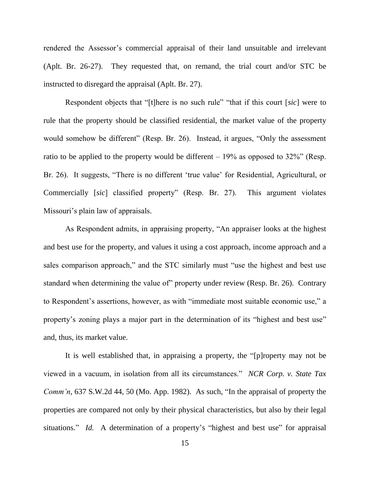rendered the Assessor's commercial appraisal of their land unsuitable and irrelevant (Aplt. Br. 26-27). They requested that, on remand, the trial court and/or STC be instructed to disregard the appraisal (Aplt. Br. 27).

Respondent objects that "[t]here is no such rule" "that if this court [*sic*] were to rule that the property should be classified residential, the market value of the property would somehow be different" (Resp. Br. 26). Instead, it argues, "Only the assessment ratio to be applied to the property would be different  $-19\%$  as opposed to 32%" (Resp. Br. 26). It suggests, "There is no different 'true value' for Residential, Agricultural, or Commercially [*sic*] classified property" (Resp. Br. 27). This argument violates Missouri's plain law of appraisals.

As Respondent admits, in appraising property, "An appraiser looks at the highest and best use for the property, and values it using a cost approach, income approach and a sales comparison approach," and the STC similarly must "use the highest and best use standard when determining the value of" property under review (Resp. Br. 26). Contrary to Respondent's assertions, however, as with "immediate most suitable economic use," a property's zoning plays a major part in the determination of its "highest and best use" and, thus, its market value.

It is well established that, in appraising a property, the "[p]roperty may not be viewed in a vacuum, in isolation from all its circumstances." *NCR Corp. v. State Tax Comm'n*, 637 S.W.2d 44, 50 (Mo. App. 1982). As such, "In the appraisal of property the properties are compared not only by their physical characteristics, but also by their legal situations." *Id.* A determination of a property's "highest and best use" for appraisal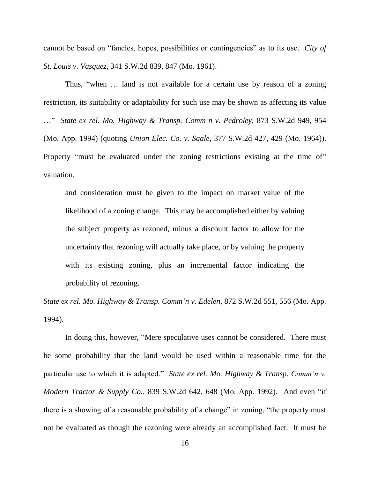cannot be based on "fancies, hopes, possibilities or contingencies" as to its use. *City of St. Louis v. Vasquez*, 341 S.W.2d 839, 847 (Mo. 1961).

Thus, "when … land is not available for a certain use by reason of a zoning restriction, its suitability or adaptability for such use may be shown as affecting its value …" *State ex rel. Mo. Highway & Transp. Comm'n v. Pedroley*, 873 S.W.2d 949, 954 (Mo. App. 1994) (quoting *Union Elec. Co. v. Saale*, 377 S.W.2d 427, 429 (Mo. 1964)). Property "must be evaluated under the zoning restrictions existing at the time of" valuation,

and consideration must be given to the impact on market value of the likelihood of a zoning change. This may be accomplished either by valuing the subject property as rezoned, minus a discount factor to allow for the uncertainty that rezoning will actually take place, or by valuing the property with its existing zoning, plus an incremental factor indicating the probability of rezoning.

*State ex rel. Mo. Highway & Transp. Comm'n v. Edelen*, 872 S.W.2d 551, 556 (Mo. App. 1994).

In doing this, however, "Mere speculative uses cannot be considered. There must be some probability that the land would be used within a reasonable time for the particular use to which it is adapted." *State ex rel. Mo. Highway & Transp. Comm'n v. Modern Tractor & Supply Co.*, 839 S.W.2d 642, 648 (Mo. App. 1992). And even "if there is a showing of a reasonable probability of a change" in zoning, "the property must not be evaluated as though the rezoning were already an accomplished fact. It must be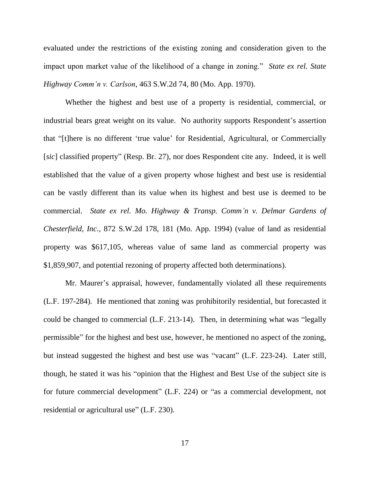evaluated under the restrictions of the existing zoning and consideration given to the impact upon market value of the likelihood of a change in zoning." *State ex rel. State Highway Comm'n v. Carlson*, 463 S.W.2d 74, 80 (Mo. App. 1970).

Whether the highest and best use of a property is residential, commercial, or industrial bears great weight on its value. No authority supports Respondent's assertion that "[t]here is no different 'true value' for Residential, Agricultural, or Commercially [*sic*] classified property" (Resp. Br. 27), nor does Respondent cite any. Indeed, it is well established that the value of a given property whose highest and best use is residential can be vastly different than its value when its highest and best use is deemed to be commercial. *State ex rel. Mo. Highway & Transp. Comm'n v. Delmar Gardens of Chesterfield, Inc.*, 872 S.W.2d 178, 181 (Mo. App. 1994) (value of land as residential property was \$617,105, whereas value of same land as commercial property was \$1,859,907, and potential rezoning of property affected both determinations).

Mr. Maurer's appraisal, however, fundamentally violated all these requirements (L.F. 197-284). He mentioned that zoning was prohibitorily residential, but forecasted it could be changed to commercial (L.F. 213-14). Then, in determining what was "legally permissible" for the highest and best use, however, he mentioned no aspect of the zoning, but instead suggested the highest and best use was "vacant" (L.F. 223-24). Later still, though, he stated it was his "opinion that the Highest and Best Use of the subject site is for future commercial development" (L.F. 224) or "as a commercial development, not residential or agricultural use" (L.F. 230).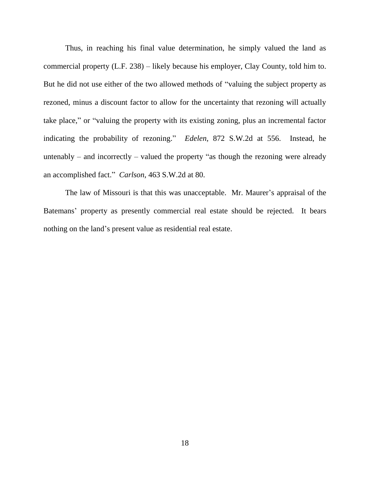Thus, in reaching his final value determination, he simply valued the land as commercial property (L.F. 238) – likely because his employer, Clay County, told him to. But he did not use either of the two allowed methods of "valuing the subject property as rezoned, minus a discount factor to allow for the uncertainty that rezoning will actually take place," or "valuing the property with its existing zoning, plus an incremental factor indicating the probability of rezoning." *Edelen*, 872 S.W.2d at 556. Instead, he untenably – and incorrectly – valued the property "as though the rezoning were already an accomplished fact." *Carlson*, 463 S.W.2d at 80.

The law of Missouri is that this was unacceptable. Mr. Maurer's appraisal of the Batemans' property as presently commercial real estate should be rejected. It bears nothing on the land's present value as residential real estate.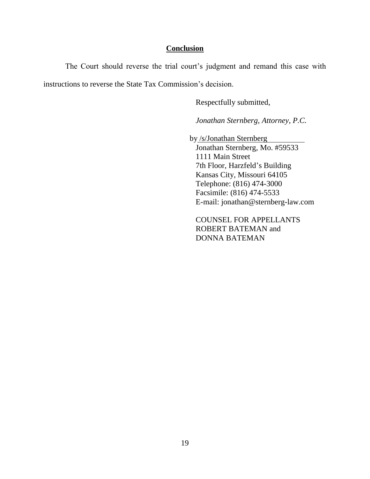### **Conclusion**

The Court should reverse the trial court's judgment and remand this case with instructions to reverse the State Tax Commission's decision.

Respectfully submitted,

*Jonathan Sternberg, Attorney, P.C.*

by /s/Jonathan Sternberg

Jonathan Sternberg, Mo. #59533 1111 Main Street 7th Floor, Harzfeld's Building Kansas City, Missouri 64105 Telephone: (816) 474-3000 Facsimile: (816) 474-5533 E-mail: jonathan@sternberg-law.com

COUNSEL FOR APPELLANTS ROBERT BATEMAN and DONNA BATEMAN